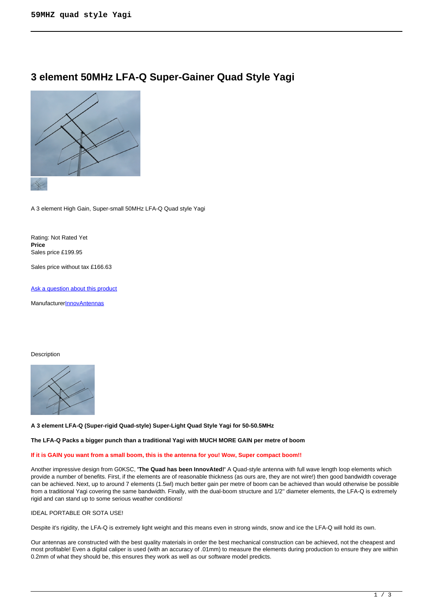# **3 element 50MHz LFA-Q Super-Gainer Quad Style Yagi**



A 3 element High Gain, Super-small 50MHz LFA-Q Quad style Yagi

Rating: Not Rated Yet **Price**  Sales price £199.95

Sales price without tax £166.63

[Ask a question about this product](https://innovantennas.com/index.php?option=com_virtuemart&view=productdetails&task=askquestion&virtuemart_product_id=368&virtuemart_category_id=3&tmpl=component)

Manufacturer**[InnovAntennas](https://innovantennas.com/index.php?option=com_virtuemart&view=manufacturer&virtuemart_manufacturer_id=1&tmpl=component)** 

#### Description



#### **A 3 element LFA-Q (Super-rigid Quad-style) Super-Light Quad Style Yagi for 50-50.5MHz**

#### **The LFA-Q Packs a bigger punch than a traditional Yagi with MUCH MORE GAIN per metre of boom**

#### **If it is GAIN you want from a small boom, this is the antenna for you! Wow, Super compact boom!!**

Another impressive design from G0KSC, **'The Quad has been InnovAted!'** A Quad-style antenna with full wave length loop elements which provide a number of benefits. First, if the elements are of reasonable thickness (as ours are, they are not wire!) then good bandwidth coverage can be achieved. Next, up to around 7 elements (1.5wl) much better gain per metre of boom can be achieved than would otherwise be possible from a traditional Yagi covering the same bandwidth. Finally, with the dual-boom structure and 1/2'' diameter elements, the LFA-Q is extremely rigid and can stand up to some serious weather conditions!

## IDEAL PORTABLE OR SOTA USE!

Despite it's rigidity, the LFA-Q is extremely light weight and this means even in strong winds, snow and ice the LFA-Q will hold its own.

Our antennas are constructed with the best quality materials in order the best mechanical construction can be achieved, not the cheapest and most profitable! Even a digital caliper is used (with an accuracy of .01mm) to measure the elements during production to ensure they are within 0.2mm of what they should be, this ensures they work as well as our software model predicts.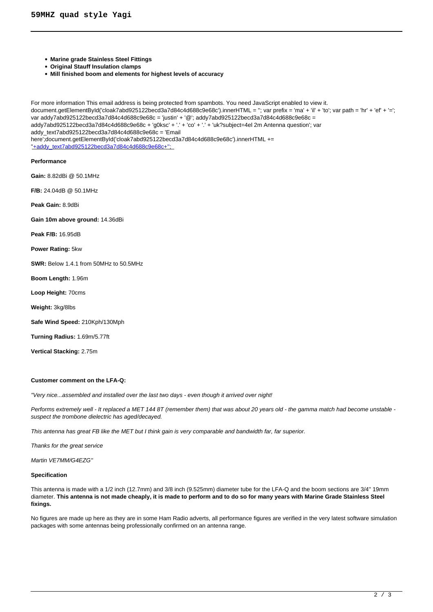- **Marine grade Stainless Steel Fittings**
- **Original Stauff Insulation clamps**
- **Mill finished boom and elements for highest levels of accuracy**

For more information This email address is being protected from spambots. You need JavaScript enabled to view it. document.getElementById('cloak7abd925122becd3a7d84c4d688c9e68c').innerHTML = ''; var prefix = 'ma' + 'il' + 'to'; var path = 'hr' + 'ef' + '='; var addy7abd925122becd3a7d84c4d688c9e68c = 'justin' + '@'; addy7abd925122becd3a7d84c4d688c9e68c = addy7abd925122becd3a7d84c4d688c9e68c + 'g0ksc' + '.' + 'co' + '.' + 'uk?subject=4el 2m Antenna question'; var addy\_text7abd925122becd3a7d84c4d688c9e68c = 'Email here';document.getElementById('cloak7abd925122becd3a7d84c4d688c9e68c').innerHTML += ''+addy\_text7abd925122becd3a7d84c4d688c9e68c+'';

**Performance**

**Gain:** 8.82dBi @ 50.1MHz

**F/B:** 24.04dB @ 50.1MHz

**Peak Gain:** 8.9dBi

**Gain 10m above ground:** 14.36dBi

**Peak F/B:** 16.95dB

**Power Rating:** 5kw

**SWR:** Below 1.4.1 from 50MHz to 50.5MHz

**Boom Length:** 1.96m

**Loop Height:** 70cms

**Weight:** 3kg/8lbs

**Safe Wind Speed:** 210Kph/130Mph

**Turning Radius:** 1.69m/5.77ft

**Vertical Stacking:** 2.75m

#### **Customer comment on the LFA-Q:**

''Very nice...assembled and installed over the last two days - even though it arrived over night!

Performs extremely well - It replaced a MET 144 8T (remember them) that was about 20 years old - the gamma match had become unstable suspect the trombone dielectric has aged/decayed.

This antenna has great FB like the MET but I think gain is very comparable and bandwidth far, far superior.

Thanks for the great service

Martin VE7MM/G4EZG''

#### **Specification**

This antenna is made with a 1/2 inch (12.7mm) and 3/8 inch (9.525mm) diameter tube for the LFA-Q and the boom sections are 3/4'' 19mm diameter. **This antenna is not made cheaply, it is made to perform and to do so for many years with Marine Grade Stainless Steel fixings.**

No figures are made up here as they are in some Ham Radio adverts, all performance figures are verified in the very latest software simulation packages with some antennas being professionally confirmed on an antenna range.